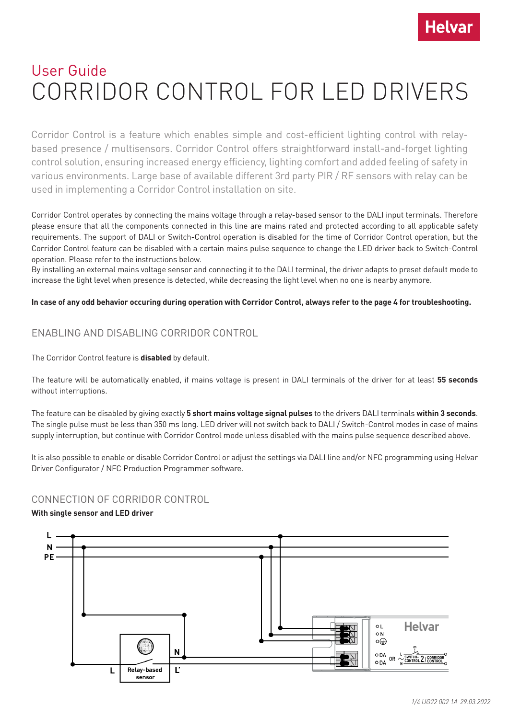

# User Guide CORRIDOR CONTROL FOR LED DRIVERS

Corridor Control is a feature which enables simple and cost-efficient lighting control with relaybased presence / multisensors. Corridor Control offers straightforward install-and-forget lighting control solution, ensuring increased energy efficiency, lighting comfort and added feeling of safety in various environments. Large base of available different 3rd party PIR / RF sensors with relay can be used in implementing a Corridor Control installation on site.

Corridor Control operates by connecting the mains voltage through a relay-based sensor to the DALI input terminals. Therefore please ensure that all the components connected in this line are mains rated and protected according to all applicable safety requirements. The support of DALI or Switch-Control operation is disabled for the time of Corridor Control operation, but the Corridor Control feature can be disabled with a certain mains pulse sequence to change the LED driver back to Switch-Control operation. Please refer to the instructions below.

By installing an external mains voltage sensor and connecting it to the DALI terminal, the driver adapts to preset default mode to increase the light level when presence is detected, while decreasing the light level when no one is nearby anymore.

#### **In case of any odd behavior occuring during operation with Corridor Control, always refer to the page 4 for troubleshooting.**

## ENABLING AND DISABLING CORRIDOR CONTROL

The Corridor Control feature is **disabled** by default.

The feature will be automatically enabled, if mains voltage is present in DALI terminals of the driver for at least **55 seconds** without interruptions.

The feature can be disabled by giving exactly **5 short mains voltage signal pulses** to the drivers DALI terminals **within 3 seconds**. The single pulse must be less than 350 ms long. LED driver will not switch back to DALI / Switch-Control modes in case of mains supply interruption, but continue with Corridor Control mode unless disabled with the mains pulse sequence described above.

It is also possible to enable or disable Corridor Control or adjust the settings via DALI line and/or NFC programming using Helvar Driver Configurator / NFC Production Programmer software.

## CONNECTION OF CORRIDOR CONTROL

#### **With single sensor and LED driver**

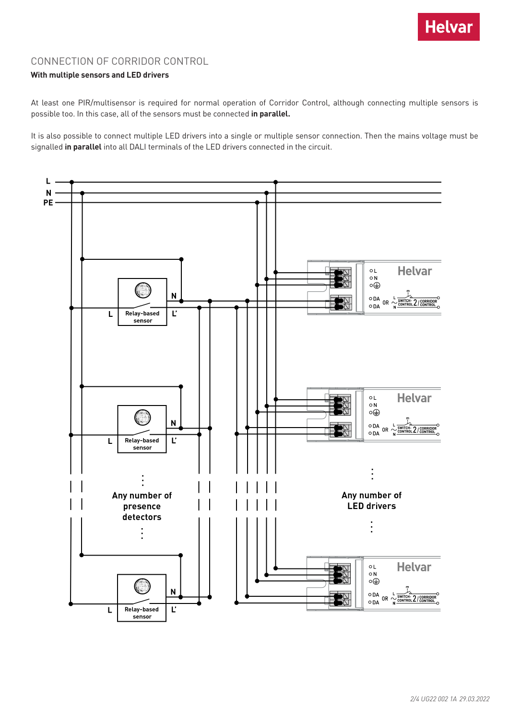

## CONNECTION OF CORRIDOR CONTROL

#### **With multiple sensors and LED drivers**

At least one PIR/multisensor is required for normal operation of Corridor Control, although connecting multiple sensors is possible too. In this case, all of the sensors must be connected **in parallel.**

It is also possible to connect multiple LED drivers into a single or multiple sensor connection. Then the mains voltage must be signalled **in parallel** into all DALI terminals of the LED drivers connected in the circuit.

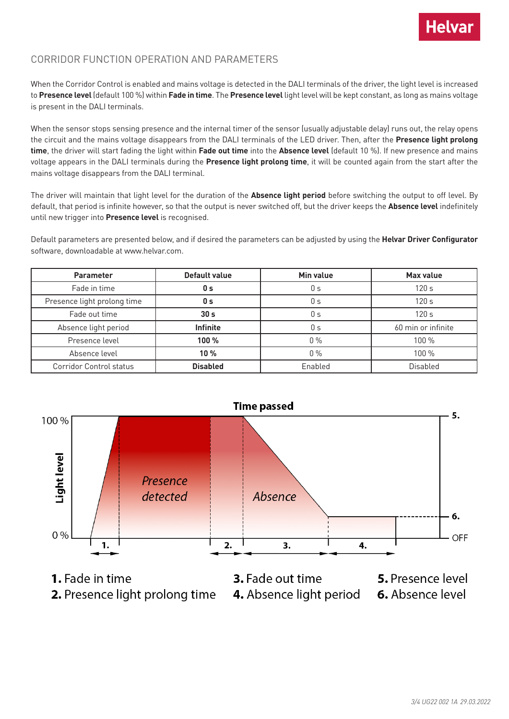

## CORRIDOR FUNCTION OPERATION AND PARAMETERS

When the Corridor Control is enabled and mains voltage is detected in the DALI terminals of the driver, the light level is increased to **Presence level** (default 100 %) within **Fade in time**. The **Presence level** light level will be kept constant, as long as mains voltage is present in the DALI terminals.

When the sensor stops sensing presence and the internal timer of the sensor (usually adjustable delay) runs out, the relay opens the circuit and the mains voltage disappears from the DALI terminals of the LED driver. Then, after the **Presence light prolong time**, the driver will start fading the light within **Fade out time** into the **Absence level** (default 10 %). If new presence and mains voltage appears in the DALI terminals during the **Presence light prolong time**, it will be counted again from the start after the mains voltage disappears from the DALI terminal.

The driver will maintain that light level for the duration of the **Absence light period** before switching the output to off level. By default, that period is infinite however, so that the output is never switched off, but the driver keeps the **Absence level** indefinitely until new trigger into **Presence level** is recognised.

Default parameters are presented below, and if desired the parameters can be adjusted by using the **Helvar Driver Configurator**  software, downloadable at www.helvar.com.

| <b>Parameter</b>               | Default value   | Min value | Max value          |
|--------------------------------|-----------------|-----------|--------------------|
| Fade in time                   | 0 <sub>s</sub>  | 0 s       | 120s               |
| Presence light prolong time    | 0 s             | 0 s       | 120 <sub>s</sub>   |
| Fade out time                  | 30 <sub>s</sub> | 0 s       | 120s               |
| Absence light period           | <b>Infinite</b> | 0 s       | 60 min or infinite |
| Presence level                 | $100\%$         | $0\%$     | 100%               |
| Absence level                  | 10 %            | $0\%$     | 100 %              |
| <b>Corridor Control status</b> | <b>Disabled</b> | Enabled   | <b>Disabled</b>    |



- 1. Fade in time
- 2. Presence light prolong time
- 3. Fade out time 4. Absence light period 6. Absence level
	- 5. Presence level